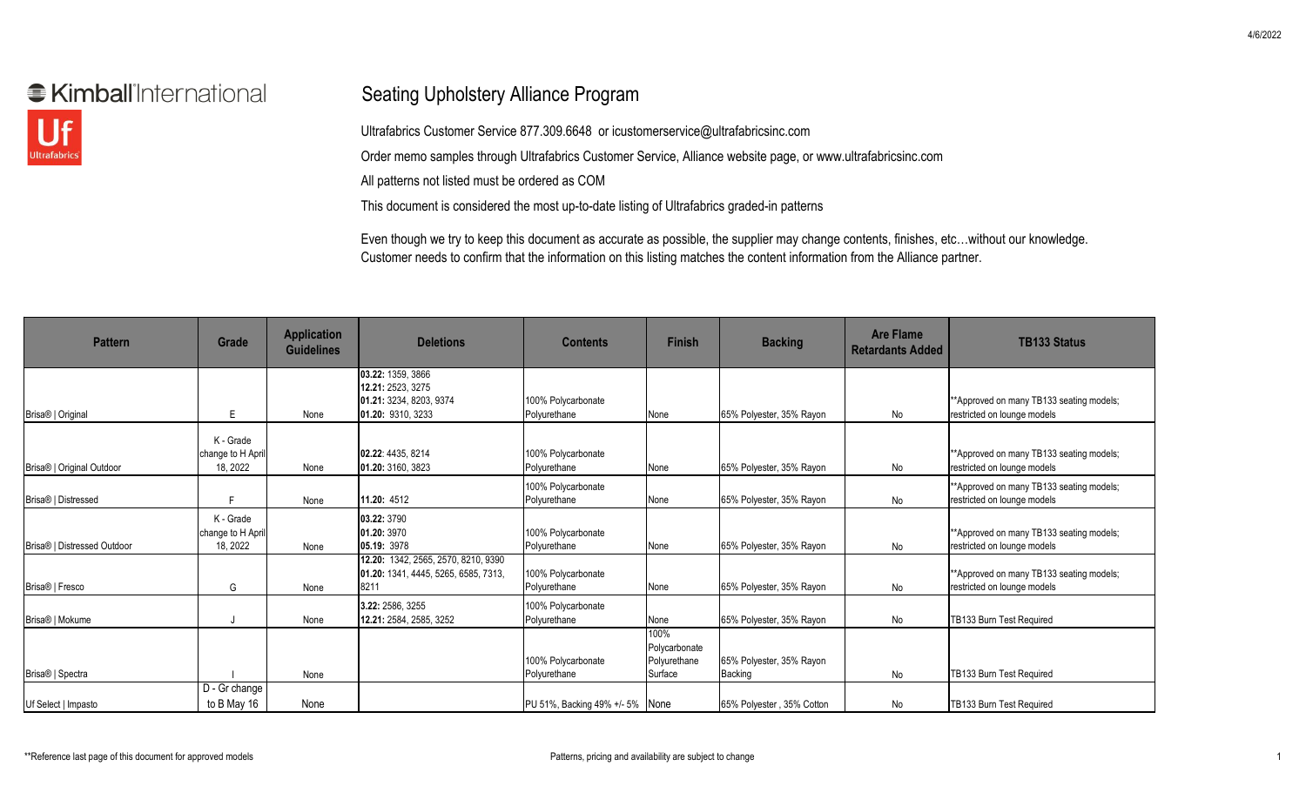## **€ Kimball** International



## Seating Upholstery Alliance Program

Ultrafabrics Customer Service 877.309.6648 or icustomerservice@ultrafabricsinc.com Order memo samples through Ultrafabrics Customer Service, Alliance website page, or www.ultrafabricsinc.com All patterns not listed must be ordered as COM

This document is considered the most up-to-date listing of Ultrafabrics graded-in patterns

Even though we try to keep this document as accurate as possible, the supplier may change contents, finishes, etc…without our knowledge. Customer needs to confirm that the information on this listing matches the content information from the Alliance partner.

| <b>Pattern</b>              | Grade                                      | <b>Application</b><br><b>Guidelines</b> | <b>Deletions</b>                                                                       | <b>Contents</b>                    | <b>Finish</b>                                    | <b>Backing</b>                      | <b>Are Flame</b><br><b>Retardants Added</b> | <b>TB133 Status</b>                                                      |
|-----------------------------|--------------------------------------------|-----------------------------------------|----------------------------------------------------------------------------------------|------------------------------------|--------------------------------------------------|-------------------------------------|---------------------------------------------|--------------------------------------------------------------------------|
| Brisa®   Original           | E                                          | None                                    | 03.22: 1359, 3866<br>12.21: 2523. 3275<br>01.21: 3234, 8203, 9374<br>01.20: 9310, 3233 | 100% Polycarbonate<br>Polyurethane | None                                             | 65% Polyester, 35% Rayon            | No                                          | ** Approved on many TB133 seating models;<br>restricted on lounge models |
| Brisa®   Original Outdoor   | K - Grade<br>change to H April<br>18, 2022 | None                                    | 02.22: 4435, 8214<br>01.20: 3160, 3823                                                 | 100% Polycarbonate<br>Polyurethane | None                                             | 65% Polyester, 35% Rayon            | No                                          | **Approved on many TB133 seating models;<br>restricted on lounge models  |
| Brisa®   Distressed         | F.                                         | None                                    | 11.20: 4512                                                                            | 100% Polycarbonate<br>Polyurethane | None                                             | 65% Polyester, 35% Rayon            | No                                          | **Approved on many TB133 seating models;<br>restricted on lounge models  |
| Brisa®   Distressed Outdoor | K - Grade<br>change to H April<br>18, 2022 | None                                    | 03.22: 3790<br>01.20: 3970<br>05.19: 3978                                              | 100% Polycarbonate<br>Polyurethane | None                                             | 65% Polyester, 35% Rayon            | No                                          | ** Approved on many TB133 seating models;<br>restricted on lounge models |
| Brisa®   Fresco             | G                                          | None                                    | 12.20: 1342, 2565, 2570, 8210, 9390<br>01.20: 1341, 4445, 5265, 6585, 7313,<br>8211    | 100% Polycarbonate<br>Polyurethane | None                                             | 65% Polyester, 35% Rayon            | No                                          | **Approved on many TB133 seating models;<br>restricted on lounge models  |
| Brisa®   Mokume             |                                            | None                                    | 3.22: 2586. 3255<br>12.21: 2584, 2585, 3252                                            | 100% Polycarbonate<br>Polyurethane | None                                             | 65% Polyester, 35% Rayon            | No                                          | TB133 Burn Test Required                                                 |
| Brisa®   Spectra            |                                            | None                                    |                                                                                        | 100% Polycarbonate<br>Polyurethane | 100%<br>Polycarbonate<br>Polyurethane<br>Surface | 65% Polyester, 35% Rayon<br>Backing | No                                          | TB133 Burn Test Required                                                 |
| Uf Select   Impasto         | D - Gr change<br>to B May 16               | None                                    |                                                                                        | PU 51%, Backing 49% +/- 5% None    |                                                  | 65% Polyester, 35% Cotton           | No                                          | TB133 Burn Test Required                                                 |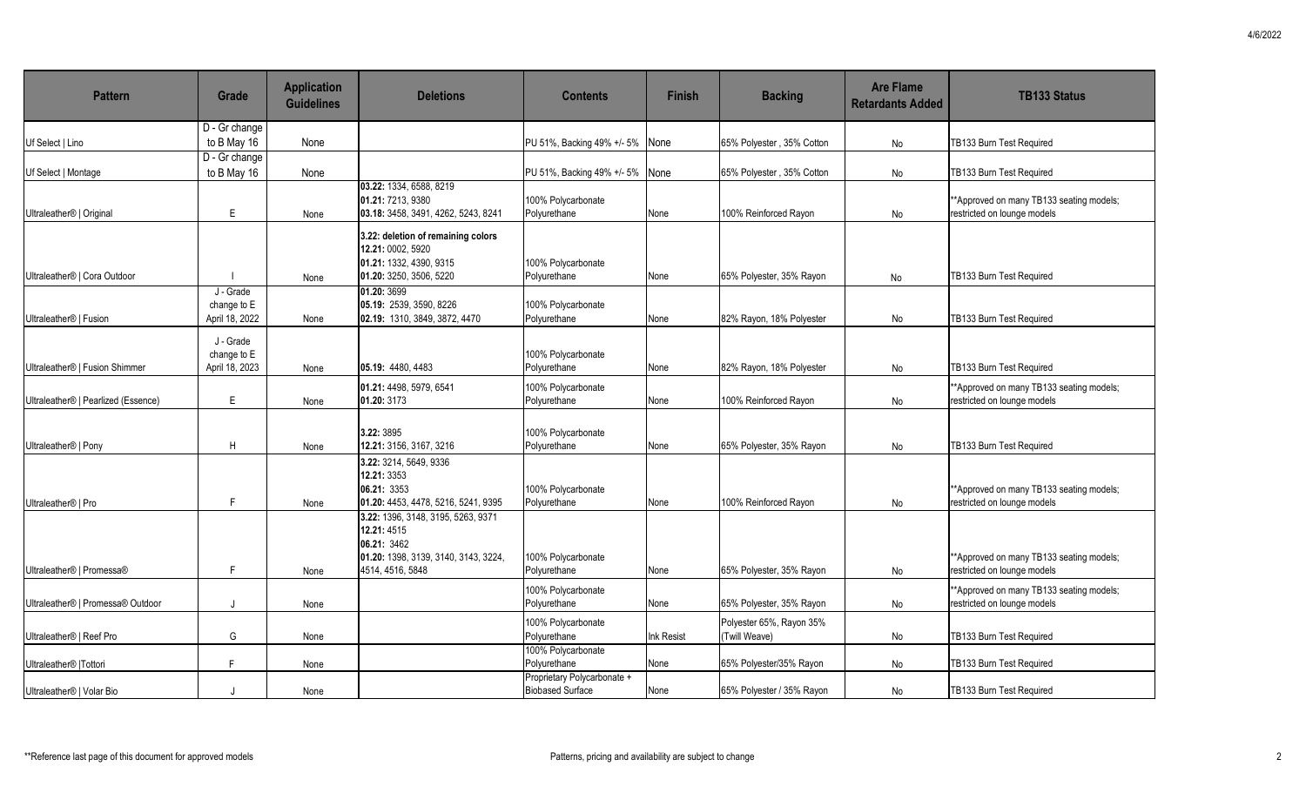| <b>Pattern</b>                       | Grade                                      | <b>Application</b><br><b>Guidelines</b> | <b>Deletions</b>                                                                                                             | <b>Contents</b>                                        | <b>Finish</b> | <b>Backing</b>                            | <b>Are Flame</b><br><b>Retardants Added</b> | <b>TB133 Status</b>                                                     |
|--------------------------------------|--------------------------------------------|-----------------------------------------|------------------------------------------------------------------------------------------------------------------------------|--------------------------------------------------------|---------------|-------------------------------------------|---------------------------------------------|-------------------------------------------------------------------------|
| Uf Select   Lino                     | D - Gr change<br>to B May 16               | None                                    |                                                                                                                              | PU 51%, Backing 49% +/- 5%                             | None          | 65% Polyester, 35% Cotton                 | No                                          | TB133 Burn Test Required                                                |
| Uf Select   Montage                  | D - Gr change<br>to B May 16               | None                                    |                                                                                                                              | PU 51%, Backing 49% +/- 5% None                        |               | 65% Polyester, 35% Cotton                 | No                                          | TB133 Burn Test Required                                                |
| Ultraleather <sup>®</sup>   Original | E                                          | None                                    | 03.22: 1334, 6588, 8219<br>01.21: 7213, 9380<br>03.18: 3458, 3491, 4262, 5243, 8241                                          | 100% Polycarbonate<br>Polyurethane                     | None          | 100% Reinforced Rayon                     | <b>No</b>                                   | **Approved on many TB133 seating models;<br>restricted on lounge models |
| Ultraleather®   Cora Outdoor         |                                            | None                                    | 3.22: deletion of remaining colors<br>12.21: 0002, 5920<br>01.21: 1332, 4390, 9315<br>01.20: 3250, 3506, 5220                | 100% Polycarbonate<br>Polyurethane                     | None          | 65% Polyester, 35% Rayon                  | No                                          | TB133 Burn Test Required                                                |
| Ultraleather®   Fusion               | J - Grade<br>change to E<br>April 18, 2022 | None                                    | 01.20: 3699<br>05.19: 2539, 3590, 8226<br>02.19: 1310, 3849, 3872, 4470                                                      | 100% Polycarbonate<br>Polyurethane                     | None          | 82% Rayon, 18% Polyester                  | No                                          | TB133 Burn Test Required                                                |
| Ultraleather®   Fusion Shimmer       | J - Grade<br>change to E<br>April 18, 2023 | None                                    | 05.19: 4480.4483                                                                                                             | 100% Polycarbonate<br>Polyurethane                     | None          | 82% Rayon, 18% Polyester                  | No                                          | TB133 Burn Test Required                                                |
| Ultraleather®   Pearlized (Essence)  | E                                          | None                                    | 01.21: 4498, 5979, 6541<br>01.20: 3173                                                                                       | 100% Polycarbonate<br>Polyurethane                     | None          | 100% Reinforced Rayon                     | No                                          | **Approved on many TB133 seating models;<br>restricted on lounge models |
| Ultraleather <sup>®</sup>   Pony     | H                                          | None                                    | 3.22: 3895<br>12.21: 3156. 3167. 3216                                                                                        | 100% Polycarbonate<br>Polyurethane                     | None          | 65% Polyester, 35% Rayon                  | No                                          | TB133 Burn Test Required                                                |
| Ultraleather <sup>®</sup>   Pro      | F                                          | None                                    | 3.22: 3214. 5649. 9336<br>12.21: 3353<br>06.21: 3353<br>01.20: 4453, 4478, 5216, 5241, 9395                                  | 100% Polycarbonate<br>Polyurethane                     | None          | 100% Reinforced Ravon                     | No                                          | **Approved on many TB133 seating models;<br>restricted on lounge models |
| Ultraleather®   Promessa®            | F                                          | None                                    | 3.22: 1396, 3148, 3195, 5263, 9371<br>12.21: 4515<br>06.21: 3462<br>01.20: 1398, 3139, 3140, 3143, 3224,<br>4514, 4516, 5848 | 100% Polycarbonate<br>Polyurethane                     | None          | 65% Polyester, 35% Rayon                  | No                                          | **Approved on many TB133 seating models;<br>restricted on lounge models |
| Ultraleather®   Promessa® Outdoor    |                                            | None                                    |                                                                                                                              | 100% Polycarbonate<br>Polyurethane                     | None          | 65% Polyester, 35% Rayon                  | No                                          | **Approved on many TB133 seating models;<br>restricted on lounge models |
| Ultraleather®   Reef Pro             | G                                          | None                                    |                                                                                                                              | 100% Polycarbonate<br>Polyurethane                     | Ink Resist    | Polyester 65%, Rayon 35%<br>(Twill Weave) | No                                          | TB133 Burn Test Required                                                |
| Ultraleather <sup>®</sup>  Tottori   | F                                          | None                                    |                                                                                                                              | 100% Polycarbonate<br>Polyurethane                     | None          | 65% Polyester/35% Rayon                   | No                                          | TB133 Burn Test Required                                                |
| Ultraleather®   Volar Bio            |                                            | None                                    |                                                                                                                              | Proprietary Polycarbonate +<br><b>Biobased Surface</b> | None          | 65% Polyester / 35% Rayon                 | No                                          | TB133 Burn Test Required                                                |